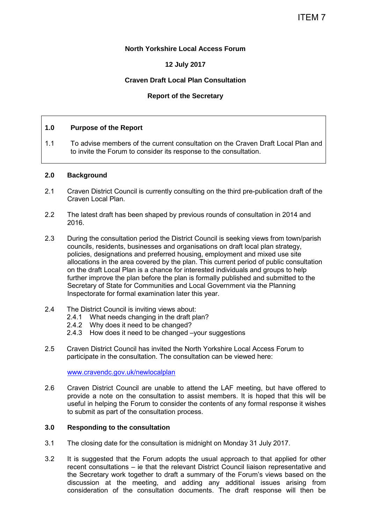## **North Yorkshire Local Access Forum**

# **12 July 2017**

## **Craven Draft Local Plan Consultation**

## **Report of the Secretary**

## **1.0 Purpose of the Report**

1.1 To advise members of the current consultation on the Craven Draft Local Plan and to invite the Forum to consider its response to the consultation.

#### **2.0 Background**

- 2.1 Craven District Council is currently consulting on the third pre-publication draft of the Craven Local Plan.
- 2.2 The latest draft has been shaped by previous rounds of consultation in 2014 and 2016.
- 2.3 During the consultation period the District Council is seeking views from town/parish councils, residents, businesses and organisations on draft local plan strategy, policies, designations and preferred housing, employment and mixed use site allocations in the area covered by the plan. This current period of public consultation on the draft Local Plan is a chance for interested individuals and groups to help further improve the plan before the plan is formally published and submitted to the Secretary of State for Communities and Local Government via the Planning Inspectorate for formal examination later this year.
- 2.4 The District Council is inviting views about:
	- 2.4.1 What needs changing in the draft plan?
	- 2.4.2 Why does it need to be changed?
	- 2.4.3 How does it need to be changed –your suggestions
- 2.5 Craven District Council has invited the North Yorkshire Local Access Forum to participate in the consultation. The consultation can be viewed here:

[www.cravendc.gov.uk/newlocalplan](http://www.cravendc.gov.uk/newlocalplan) 

2.6 Craven District Council are unable to attend the LAF meeting, but have offered to provide a note on the consultation to assist members. It is hoped that this will be useful in helping the Forum to consider the contents of any formal response it wishes to submit as part of the consultation process.

# **3.0 Responding to the consultation**

- 3.1 The closing date for the consultation is midnight on Monday 31 July 2017.
- 3.2 It is suggested that the Forum adopts the usual approach to that applied for other recent consultations – ie that the relevant District Council liaison representative and the Secretary work together to draft a summary of the Forum's views based on the discussion at the meeting, and adding any additional issues arising from consideration of the consultation documents. The draft response will then be